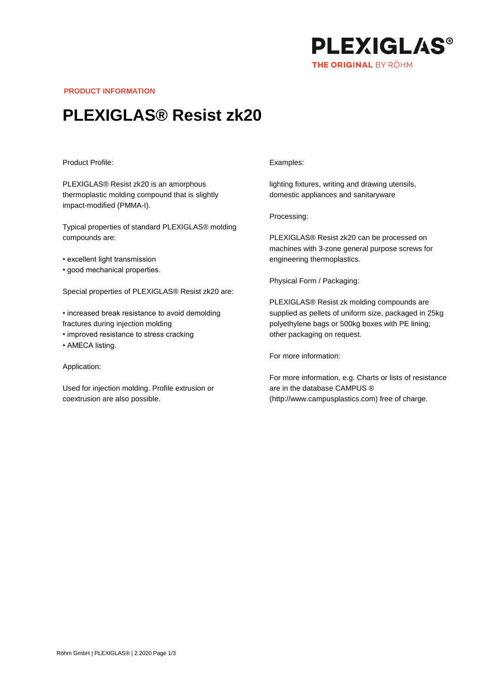

**PRODUCT INFORMATION**

# **PLEXIGLAS® Resist zk20**

#### Product Profile:

PLEXIGLAS® Resist zk20 is an amorphous thermoplastic molding compound that is slightly impact-modified (PMMA-I).

Typical properties of standard PLEXIGLAS® molding compounds are:

- excellent light transmission
- good mechanical properties.

Special properties of PLEXIGLAS® Resist zk20 are:

- increased break resistance to avoid demolding fractures during injection molding
- improved resistance to stress cracking
- AMECA listing.

#### Application:

Used for injection molding. Profile extrusion or coextrusion are also possible.

### Examples:

lighting fixtures, writing and drawing utensils, domestic appliances and sanitaryware

Processing:

PLEXIGLAS® Resist zk20 can be processed on machines with 3-zone general purpose screws for engineering thermoplastics.

Physical Form / Packaging:

PLEXIGLAS® Resist zk molding compounds are supplied as pellets of uniform size, packaged in 25kg polyethylene bags or 500kg boxes with PE lining; other packaging on request.

For more information:

For more information, e.g. Charts or lists of resistance are in the database CAMPUS ® (http://www.campusplastics.com) free of charge.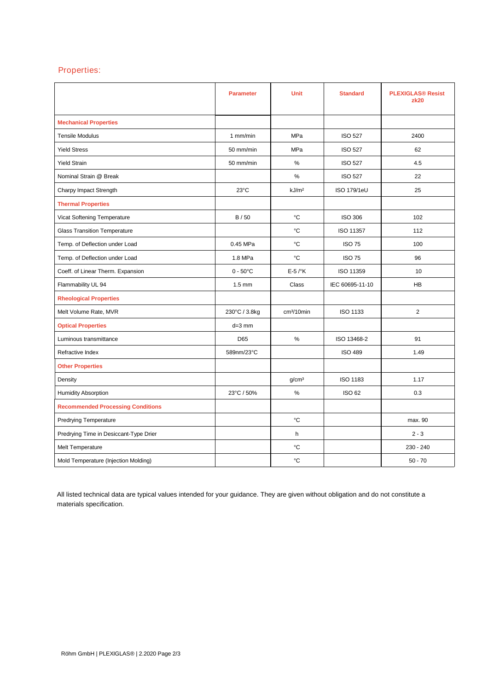## Properties:

|                                          | <b>Parameter</b>   | <b>Unit</b>            | <b>Standard</b>    | <b>PLEXIGLAS® Resist</b><br><b>zk20</b> |
|------------------------------------------|--------------------|------------------------|--------------------|-----------------------------------------|
| <b>Mechanical Properties</b>             |                    |                        |                    |                                         |
| <b>Tensile Modulus</b>                   | 1 mm/min           | MPa                    | <b>ISO 527</b>     | 2400                                    |
| <b>Yield Stress</b>                      | 50 mm/min          | <b>MPa</b>             | <b>ISO 527</b>     | 62                                      |
| <b>Yield Strain</b>                      | 50 mm/min          | %                      | <b>ISO 527</b>     | 4.5                                     |
| Nominal Strain @ Break                   |                    | %                      | <b>ISO 527</b>     | 22                                      |
| Charpy Impact Strength                   | $23^{\circ}$ C     | kJ/m <sup>2</sup>      | <b>ISO 179/1eU</b> | 25                                      |
| <b>Thermal Properties</b>                |                    |                        |                    |                                         |
| Vicat Softening Temperature              | B/50               | °C                     | <b>ISO 306</b>     | 102                                     |
| <b>Glass Transition Temperature</b>      |                    | °C                     | ISO 11357          | 112                                     |
| Temp. of Deflection under Load           | 0.45 MPa           | °C                     | <b>ISO 75</b>      | 100                                     |
| Temp. of Deflection under Load           | 1.8 MPa            | °C                     | <b>ISO 75</b>      | 96                                      |
| Coeff. of Linear Therm. Expansion        | $0 - 50^{\circ}$ C | $E-5$ / $\mathrm{K}$   | ISO 11359          | 10                                      |
| Flammability UL 94                       | $1.5 \text{ mm}$   | Class                  | IEC 60695-11-10    | <b>HB</b>                               |
| <b>Rheological Properties</b>            |                    |                        |                    |                                         |
| Melt Volume Rate, MVR                    | 230°C / 3.8kg      | cm <sup>3</sup> /10min | <b>ISO 1133</b>    | $\overline{2}$                          |
| <b>Optical Properties</b>                | $d=3$ mm           |                        |                    |                                         |
| Luminous transmittance                   | D65                | %                      | ISO 13468-2        | 91                                      |
| Refractive Index                         | 589nm/23°C         |                        | <b>ISO 489</b>     | 1.49                                    |
| <b>Other Properties</b>                  |                    |                        |                    |                                         |
| Density                                  |                    | g/cm <sup>3</sup>      | ISO 1183           | 1.17                                    |
| <b>Humidity Absorption</b>               | 23°C / 50%         | $\%$                   | <b>ISO 62</b>      | 0.3                                     |
| <b>Recommended Processing Conditions</b> |                    |                        |                    |                                         |
| <b>Predrying Temperature</b>             |                    | °C                     |                    | max. 90                                 |
| Predrying Time in Desiccant-Type Drier   |                    | h                      |                    | $2 - 3$                                 |
| Melt Temperature                         |                    | °C                     |                    | 230 - 240                               |
| Mold Temperature (Injection Molding)     |                    | °C                     |                    | $50 - 70$                               |

All listed technical data are typical values intended for your guidance. They are given without obligation and do not constitute a materials specification.